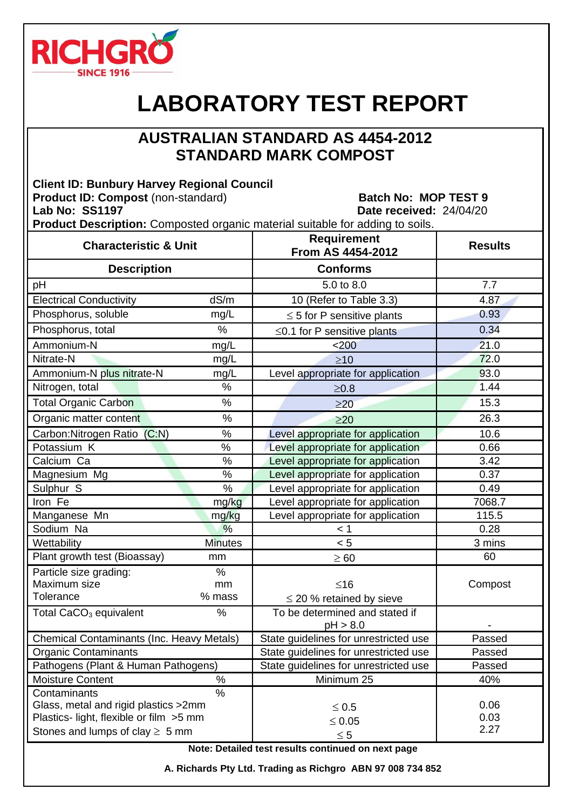

## **LABORATORY TEST REPORT**

## **AUSTRALIAN STANDARD AS 4454-2012 STANDARD MARK COMPOST**

**Client ID: Bunbury Harvey Regional Council Product ID: Compost** (non-standard) Batch No: MOP TEST 9 **Lab No: SS1197 Date received:** 24/04/20 **Product Description:** Composted organic material suitable for adding to soils.

| <b>Characteristic &amp; Unit</b>                                                                                                                |                | <b>Requirement</b><br>From AS 4454-2012    | <b>Results</b>       |
|-------------------------------------------------------------------------------------------------------------------------------------------------|----------------|--------------------------------------------|----------------------|
| <b>Description</b>                                                                                                                              |                | <b>Conforms</b>                            |                      |
| pH                                                                                                                                              |                | 5.0 to 8.0                                 | 7.7                  |
| <b>Electrical Conductivity</b>                                                                                                                  | dS/m           | 10 (Refer to Table 3.3)                    | 4.87                 |
| Phosphorus, soluble                                                                                                                             | mg/L           | $\leq$ 5 for P sensitive plants            | 0.93                 |
| Phosphorus, total                                                                                                                               | %              | $\leq$ 0.1 for P sensitive plants          | 0.34                 |
| Ammonium-N                                                                                                                                      | mg/L           | $200$                                      | 21.0                 |
| Nitrate-N                                                                                                                                       | mg/L           | $\geq 10$                                  | 72.0                 |
| Ammonium-N plus nitrate-N                                                                                                                       | mg/L           | Level appropriate for application          | 93.0                 |
| Nitrogen, total                                                                                                                                 | %              | $\geq 0.8$                                 | 1.44                 |
| <b>Total Organic Carbon</b>                                                                                                                     | $\%$           | $\geq$ 20                                  | 15.3                 |
| Organic matter content                                                                                                                          | $\frac{0}{0}$  | $\geq$ 20                                  | 26.3                 |
| Carbon: Nitrogen Ratio (C:N)                                                                                                                    | $\%$           | Level appropriate for application          | 10.6                 |
| Potassium K                                                                                                                                     | %              | Level appropriate for application          | 0.66                 |
| Calcium Ca                                                                                                                                      | %              | Level appropriate for application          | 3.42                 |
| Magnesium Mg                                                                                                                                    | $\%$           | Level appropriate for application          | 0.37                 |
| Sulphur <sub>S</sub>                                                                                                                            | $\%$           | Level appropriate for application          | 0.49                 |
| Iron Fe                                                                                                                                         | mg/kg          | Level appropriate for application          | 7068.7               |
| Manganese Mn                                                                                                                                    | mg/kg          | Level appropriate for application          | 115.5                |
| Sodium Na                                                                                                                                       | %              | < 1                                        | 0.28                 |
| Wettability                                                                                                                                     | <b>Minutes</b> | < 5                                        | 3 mins               |
| Plant growth test (Bioassay)                                                                                                                    | mm             | $\geq 60$                                  | 60                   |
| Particle size grading:                                                                                                                          | $\frac{0}{0}$  |                                            |                      |
| Maximum size                                                                                                                                    | mm             | $\leq 16$                                  | Compost              |
| <b>Tolerance</b>                                                                                                                                | % mass         | $\leq$ 20 % retained by sieve              |                      |
| Total CaCO <sub>3</sub> equivalent                                                                                                              | %              | To be determined and stated if<br>pH > 8.0 |                      |
| <b>Chemical Contaminants (Inc. Heavy Metals)</b>                                                                                                |                | State guidelines for unrestricted use      | Passed               |
| <b>Organic Contaminants</b>                                                                                                                     |                | State guidelines for unrestricted use      | Passed               |
| Pathogens (Plant & Human Pathogens)                                                                                                             |                | State guidelines for unrestricted use      | Passed               |
| <b>Moisture Content</b>                                                                                                                         | $\%$           | Minimum 25                                 | 40%                  |
| $\%$<br>Contaminants<br>Glass, metal and rigid plastics >2mm<br>Plastics- light, flexible or film >5 mm<br>Stones and lumps of clay $\geq 5$ mm |                | $\leq 0.5$<br>$\leq 0.05$<br>$\leq 5$      | 0.06<br>0.03<br>2.27 |

**Note: Detailed test results continued on next page**

**A. Richards Pty Ltd. Trading as Richgro ABN 97 008 734 852**